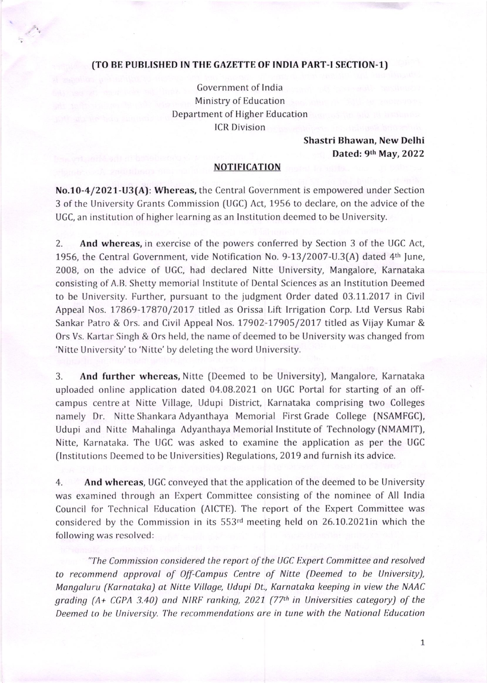## (TO BE PUBLISHED IN THE GAZETTE OF INDIA PART-I SECTION-1)

Government of lndia Ministry of Education Department of Higher Education ICR Division

> Shastri Bhawan, Ncw Dclhi Datcd: 9th May,2O22

## NOTIFICATION

No.10-4/2021-U3(A): Whereas, the Central Government is empowered under Section 3 of the University Grants Commission (UGC) Act, 1956 to declare, on the advice of the UGC, an institution of higher learning as an Institution deemed to be University.

2. And whereas, in exercise of the powers conferred by Section 3 of the UGC Act, 1956, the Central Government, vide Notification No. 9-13/2007-U.3(A) dated 4<sup>th</sup> June, 2008, on the advice of UGC, had declared Nitte University, Mangalore, Karnataka consisting of A.B. Shetty memorial Institute of Dental Sciences as an Institution Deemed to be University. Further, pursuant to the judgment Order dated 03.11.2017 in Civil Appeal Nos. 17869-17870/2017 titled as Orissa Lift Irrigation Corp. Ltd Versus Rabi Sankar Patro & Ors. and Civil Appeal Nos. 17902-17905/2017 titled as Vijay Kumar & Ors Vs. Kartar Singh & Ors held, the name of deemed to be University was changed from 'Nitte University' to 'Nitte' by deleting the word University.

3. And further whereas, Nitte (Deemed to be University), Mangalore, Karnataka uploaded online application dated 04.08.2021 on UGC Portal for starting of an offcampus centre at Nitte Village, Udupi District, Karnataka comprising two Colleges namely Dr. Nitte Shankara Adyanthaya Memorial First Grade College (NSAMFGC), Udupi and Nitte Mahalinga Adyanthaya Memorial Institute of Technology (NMAMIT), Nitte, Karnataka. The UGC was asked to examine the application as per the UGC (Institutions Deemed to be Universities) Regulations, 2019 and furnish its advice.

4. And whereas, UGC conveyed that the application of the deemed to be University was examined through an Expert Committee consisting of the nominee of All India Council for Technical Education (AICTE). The report of the Expert Committee was considered by the Commission in its 553rd meeting held on 26.10.2021in which the following was resolved:

"The Commission considered the report of the UGC Expert Committee and resolved to recommend approval of Off-Campus Centre of Nitte (Deemed to be University), Mangaluru (Karnataka) at Nitte Village, Udupi Dt., Karnataka keeping in view the NAAC grading  $(A + CGPA 3.40)$  and NIRF ranking, 2021 (77<sup>th</sup> in Universities category) of the Deemed to be University. The recommendations are in tune with the National Education